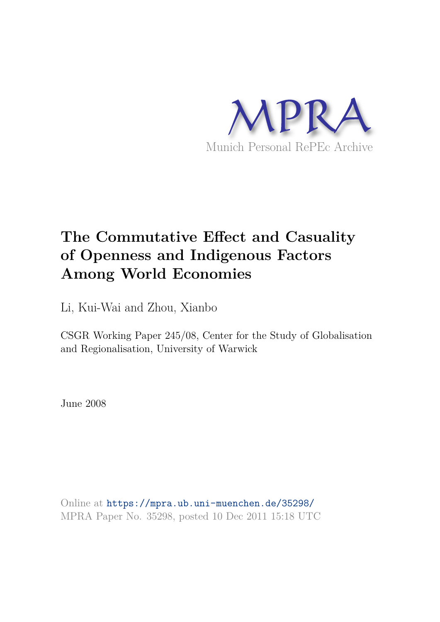

# **The Commutative Effect and Casuality of Openness and Indigenous Factors Among World Economies**

Li, Kui-Wai and Zhou, Xianbo

CSGR Working Paper 245/08, Center for the Study of Globalisation and Regionalisation, University of Warwick

June 2008

Online at https://mpra.ub.uni-muenchen.de/35298/ MPRA Paper No. 35298, posted 10 Dec 2011 15:18 UTC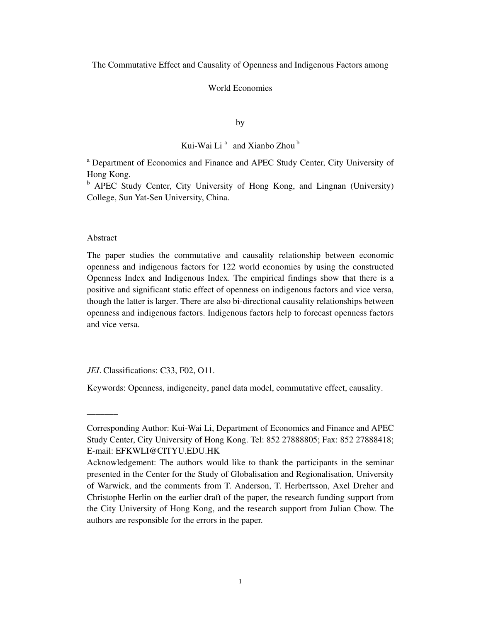The Commutative Effect and Causality of Openness and Indigenous Factors among

# World Economies

by

# Kui-Wai Li<sup>a</sup> and Xianbo Zhou<sup>b</sup>

<sup>a</sup> Department of Economics and Finance and APEC Study Center, City University of Hong Kong.

<sup>b</sup> APEC Study Center, City University of Hong Kong, and Lingnan (University) College, Sun Yat-Sen University, China.

#### Abstract

 $\overline{\phantom{a}}$ 

The paper studies the commutative and causality relationship between economic openness and indigenous factors for 122 world economies by using the constructed Openness Index and Indigenous Index. The empirical findings show that there is a positive and significant static effect of openness on indigenous factors and vice versa, though the latter is larger. There are also bi-directional causality relationships between openness and indigenous factors. Indigenous factors help to forecast openness factors and vice versa.

*JEL* Classifications: C33, F02, O11.

Keywords: Openness, indigeneity, panel data model, commutative effect, causality.

Corresponding Author: Kui-Wai Li, Department of Economics and Finance and APEC Study Center, City University of Hong Kong. Tel: 852 27888805; Fax: 852 27888418; E-mail: EFKWLI@CITYU.EDU.HK

Acknowledgement: The authors would like to thank the participants in the seminar presented in the Center for the Study of Globalisation and Regionalisation, University of Warwick, and the comments from T. Anderson, T. Herbertsson, Axel Dreher and Christophe Herlin on the earlier draft of the paper, the research funding support from the City University of Hong Kong, and the research support from Julian Chow. The authors are responsible for the errors in the paper.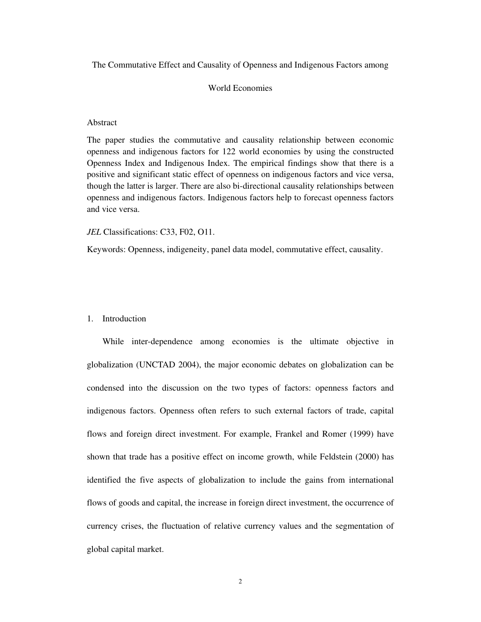The Commutative Effect and Causality of Openness and Indigenous Factors among

# World Economies

# Abstract

The paper studies the commutative and causality relationship between economic openness and indigenous factors for 122 world economies by using the constructed Openness Index and Indigenous Index. The empirical findings show that there is a positive and significant static effect of openness on indigenous factors and vice versa, though the latter is larger. There are also bi-directional causality relationships between openness and indigenous factors. Indigenous factors help to forecast openness factors and vice versa.

#### *JEL* Classifications: C33, F02, O11.

Keywords: Openness, indigeneity, panel data model, commutative effect, causality.

#### 1. Introduction

 While inter-dependence among economies is the ultimate objective in globalization (UNCTAD 2004), the major economic debates on globalization can be condensed into the discussion on the two types of factors: openness factors and indigenous factors. Openness often refers to such external factors of trade, capital flows and foreign direct investment. For example, Frankel and Romer (1999) have shown that trade has a positive effect on income growth, while Feldstein (2000) has identified the five aspects of globalization to include the gains from international flows of goods and capital, the increase in foreign direct investment, the occurrence of currency crises, the fluctuation of relative currency values and the segmentation of global capital market.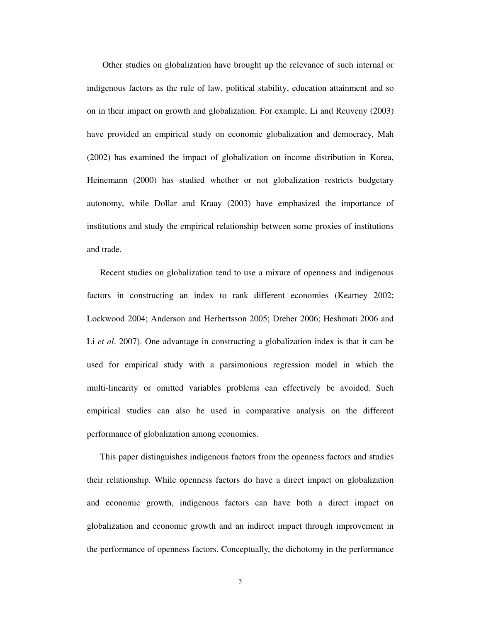Other studies on globalization have brought up the relevance of such internal or indigenous factors as the rule of law, political stability, education attainment and so on in their impact on growth and globalization. For example, Li and Reuveny (2003) have provided an empirical study on economic globalization and democracy, Mah (2002) has examined the impact of globalization on income distribution in Korea, Heinemann (2000) has studied whether or not globalization restricts budgetary autonomy, while Dollar and Kraay (2003) have emphasized the importance of institutions and study the empirical relationship between some proxies of institutions and trade.

Recent studies on globalization tend to use a mixure of openness and indigenous factors in constructing an index to rank different economies (Kearney 2002; Lockwood 2004; Anderson and Herbertsson 2005; Dreher 2006; Heshmati 2006 and Li *et al*. 2007). One advantage in constructing a globalization index is that it can be used for empirical study with a parsimonious regression model in which the multi-linearity or omitted variables problems can effectively be avoided. Such empirical studies can also be used in comparative analysis on the different performance of globalization among economies.

This paper distinguishes indigenous factors from the openness factors and studies their relationship. While openness factors do have a direct impact on globalization and economic growth, indigenous factors can have both a direct impact on globalization and economic growth and an indirect impact through improvement in the performance of openness factors. Conceptually, the dichotomy in the performance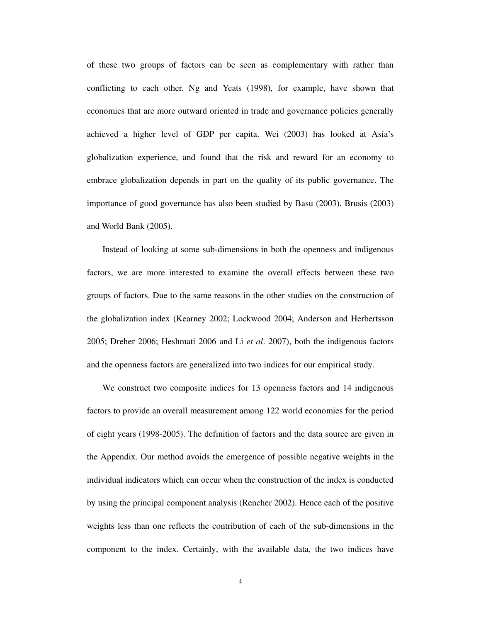of these two groups of factors can be seen as complementary with rather than conflicting to each other. Ng and Yeats (1998), for example, have shown that economies that are more outward oriented in trade and governance policies generally achieved a higher level of GDP per capita. Wei (2003) has looked at Asia's globalization experience, and found that the risk and reward for an economy to embrace globalization depends in part on the quality of its public governance. The importance of good governance has also been studied by Basu (2003), Brusis (2003) and World Bank (2005).

 Instead of looking at some sub-dimensions in both the openness and indigenous factors, we are more interested to examine the overall effects between these two groups of factors. Due to the same reasons in the other studies on the construction of the globalization index (Kearney 2002; Lockwood 2004; Anderson and Herbertsson 2005; Dreher 2006; Heshmati 2006 and Li *et al*. 2007), both the indigenous factors and the openness factors are generalized into two indices for our empirical study.

 We construct two composite indices for 13 openness factors and 14 indigenous factors to provide an overall measurement among 122 world economies for the period of eight years (1998-2005). The definition of factors and the data source are given in the Appendix. Our method avoids the emergence of possible negative weights in the individual indicators which can occur when the construction of the index is conducted by using the principal component analysis (Rencher 2002). Hence each of the positive weights less than one reflects the contribution of each of the sub-dimensions in the component to the index. Certainly, with the available data, the two indices have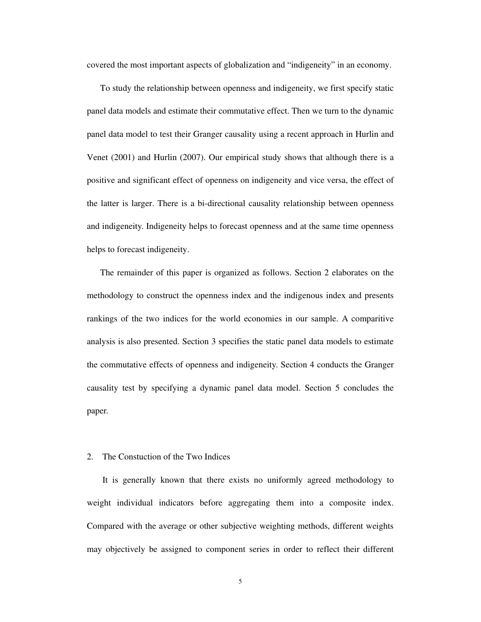covered the most important aspects of globalization and "indigeneity" in an economy.

To study the relationship between openness and indigeneity, we first specify static panel data models and estimate their commutative effect. Then we turn to the dynamic panel data model to test their Granger causality using a recent approach in Hurlin and Venet (2001) and Hurlin (2007). Our empirical study shows that although there is a positive and significant effect of openness on indigeneity and vice versa, the effect of the latter is larger. There is a bi-directional causality relationship between openness and indigeneity. Indigeneity helps to forecast openness and at the same time openness helps to forecast indigeneity.

The remainder of this paper is organized as follows. Section 2 elaborates on the methodology to construct the openness index and the indigenous index and presents rankings of the two indices for the world economies in our sample. A comparitive analysis is also presented. Section 3 specifies the static panel data models to estimate the commutative effects of openness and indigeneity. Section 4 conducts the Granger causality test by specifying a dynamic panel data model. Section 5 concludes the paper.

#### 2. The Constuction of the Two Indices

It is generally known that there exists no uniformly agreed methodology to weight individual indicators before aggregating them into a composite index. Compared with the average or other subjective weighting methods, different weights may objectively be assigned to component series in order to reflect their different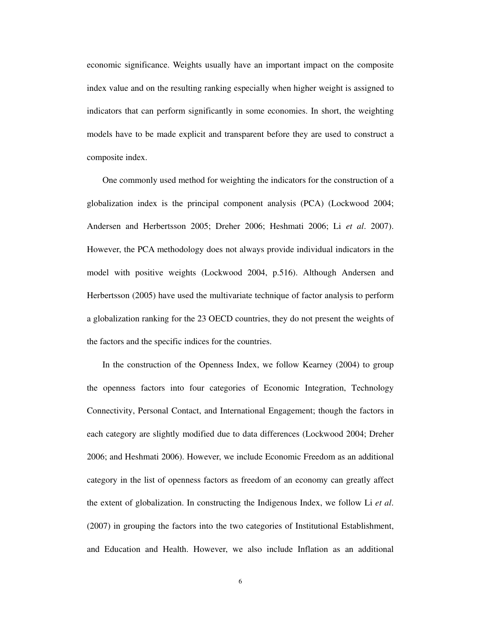economic significance. Weights usually have an important impact on the composite index value and on the resulting ranking especially when higher weight is assigned to indicators that can perform significantly in some economies. In short, the weighting models have to be made explicit and transparent before they are used to construct a composite index.

One commonly used method for weighting the indicators for the construction of a globalization index is the principal component analysis (PCA) (Lockwood 2004; Andersen and Herbertsson 2005; Dreher 2006; Heshmati 2006; Li *et al*. 2007). However, the PCA methodology does not always provide individual indicators in the model with positive weights (Lockwood 2004, p.516). Although Andersen and Herbertsson (2005) have used the multivariate technique of factor analysis to perform a globalization ranking for the 23 OECD countries, they do not present the weights of the factors and the specific indices for the countries.

In the construction of the Openness Index, we follow Kearney (2004) to group the openness factors into four categories of Economic Integration, Technology Connectivity, Personal Contact, and International Engagement; though the factors in each category are slightly modified due to data differences (Lockwood 2004; Dreher 2006; and Heshmati 2006). However, we include Economic Freedom as an additional category in the list of openness factors as freedom of an economy can greatly affect the extent of globalization. In constructing the Indigenous Index, we follow Li *et al*. (2007) in grouping the factors into the two categories of Institutional Establishment, and Education and Health. However, we also include Inflation as an additional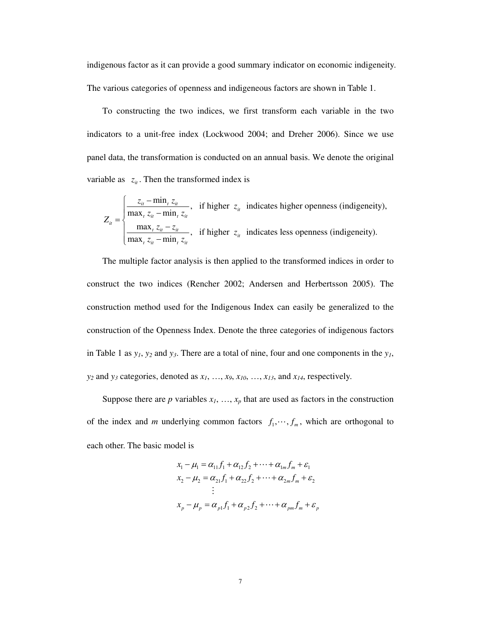indigenous factor as it can provide a good summary indicator on economic indigeneity. The various categories of openness and indigeneous factors are shown in Table 1.

To constructing the two indices, we first transform each variable in the two indicators to a unit-free index (Lockwood 2004; and Dreher 2006). Since we use panel data, the transformation is conducted on an annual basis. We denote the original variable as  $z_{ii}$ . Then the transformed index is

$$
Z_{it} = \begin{cases} \frac{z_{it} - \min_t z_{it}}{\max_t z_{it} - \min_t z_{it}}, & \text{if higher } z_{it} \text{ indicates higher openness (indigencity)},\\ \frac{\max_t z_{it} - z_{it}}{\max_t z_{it} - \min_t z_{it}}, & \text{if higher } z_{it} \text{ indicates less openness (indigencity)}. \end{cases}
$$

The multiple factor analysis is then applied to the transformed indices in order to construct the two indices (Rencher 2002; Andersen and Herbertsson 2005). The construction method used for the Indigenous Index can easily be generalized to the construction of the Openness Index. Denote the three categories of indigenous factors in Table 1 as  $y_1$ ,  $y_2$  and  $y_3$ . There are a total of nine, four and one components in the  $y_1$ ,  $y_2$  and  $y_3$  categories, denoted as  $x_1, \ldots, x_9, x_{10}, \ldots, x_{13}$ , and  $x_{14}$ , respectively.

Suppose there are  $p$  variables  $x_1, \ldots, x_p$  that are used as factors in the construction of the index and *m* underlying common factors  $f_1, \dots, f_m$ , which are orthogonal to each other. The basic model is

$$
x_1 - \mu_1 = \alpha_{11} f_1 + \alpha_{12} f_2 + \dots + \alpha_{1m} f_m + \varepsilon_1
$$
  
\n
$$
x_2 - \mu_2 = \alpha_{21} f_1 + \alpha_{22} f_2 + \dots + \alpha_{2m} f_m + \varepsilon_2
$$
  
\n
$$
\vdots
$$
  
\n
$$
x_p - \mu_p = \alpha_{p1} f_1 + \alpha_{p2} f_2 + \dots + \alpha_{pm} f_m + \varepsilon_p
$$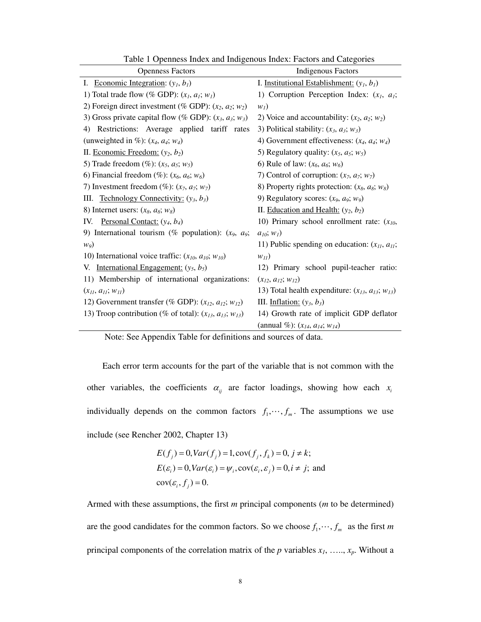| <b>Openness Factors</b>                                         | <b>Indigenous Factors</b>                                |  |  |  |
|-----------------------------------------------------------------|----------------------------------------------------------|--|--|--|
| I. Economic Integration: $(y_l, b_l)$                           | I. Institutional Establishment: $(y_1, b_1)$             |  |  |  |
| 1) Total trade flow (% GDP): $(x_l, a_l; w_l)$                  | 1) Corruption Perception Index: $(x_1, a_1;$             |  |  |  |
| 2) Foreign direct investment (% GDP): $(x_2, a_2; w_2)$         | $W_I$ )                                                  |  |  |  |
| 3) Gross private capital flow (% GDP): $(x_3, a_3; w_3)$        | 2) Voice and accountability: $(x_2, a_2; w_2)$           |  |  |  |
| Restrictions: Average applied tariff rates<br>4)                | 3) Political stability: $(x_3, a_3; w_3)$                |  |  |  |
| (unweighted in %): $(x_4, a_4; w_4)$                            | 4) Government effectiveness: $(x_4, a_4; w_4)$           |  |  |  |
| II. Economic Freedom: $(y_2, b_2)$                              | 5) Regulatory quality: $(x_5, a_5; w_5)$                 |  |  |  |
| 5) Trade freedom $(\%): (x_5, a_5; w_5)$                        | 6) Rule of law: $(x_6, a_6; w_6)$                        |  |  |  |
| 6) Financial freedom (%): $(x_6, a_6; w_6)$                     | 7) Control of corruption: $(x_7, a_7; w_7)$              |  |  |  |
| 7) Investment freedom (%): $(x_7, a_7; w_7)$                    | 8) Property rights protection: $(x_8, a_8; w_8)$         |  |  |  |
| Technology Connectivity: $(y_3, b_3)$<br>III.                   | 9) Regulatory scores: $(x_9, a_9; w_9)$                  |  |  |  |
| 8) Internet users: $(x_8, a_8; w_8)$                            | II. Education and Health: $(y_2, b_2)$                   |  |  |  |
| IV.<br><u>Personal Contact:</u> $(y_4, b_4)$                    | 10) Primary school enrollment rate: $(x_{10},$           |  |  |  |
| 9) International tourism (% population): $(x_9, a_9;$           | $a_{10}$ ; $w_1$ )                                       |  |  |  |
| $w_9$                                                           | 11) Public spending on education: $(x_{II}, a_{II})$ ;   |  |  |  |
| 10) International voice traffic: $(x_{10}, a_{10}; w_{10})$     | $W_{11}$                                                 |  |  |  |
| International Engagement: $(y_5, b_5)$<br>V.                    | 12) Primary school pupil-teacher ratio:                  |  |  |  |
| 11) Membership of international organizations:                  | $(x_{12}, a_{12}; w_{12})$                               |  |  |  |
| $(x_{II}, a_{II}; w_{II})$                                      | 13) Total health expenditure: $(x_{13}, a_{13}; w_{13})$ |  |  |  |
| 12) Government transfer (% GDP): $(x_{12}, a_{12}; w_{12})$     | III. Inflation: $(y_3, b_3)$                             |  |  |  |
| 13) Troop contribution (% of total): $(x_{13}, a_{13}; w_{13})$ | 14) Growth rate of implicit GDP deflator                 |  |  |  |
|                                                                 | (annual %): $(x_{14}, a_{14}; w_{14})$                   |  |  |  |

Table 1 Openness Index and Indigenous Index: Factors and Categories

Note: See Appendix Table for definitions and sources of data.

 Each error term accounts for the part of the variable that is not common with the other variables, the coefficients  $\alpha_{ij}$  are factor loadings, showing how each  $x_i$ individually depends on the common factors  $f_1, \dots, f_m$ . The assumptions we use include (see Rencher 2002, Chapter 13)

$$
E(f_j) = 0, Var(f_j) = 1, cov(f_j, f_k) = 0, j \neq k;
$$
  
\n
$$
E(\varepsilon_i) = 0, Var(\varepsilon_i) = \psi_i, cov(\varepsilon_i, \varepsilon_j) = 0, i \neq j;
$$
 and  
\n
$$
cov(\varepsilon_i, f_j) = 0.
$$

Armed with these assumptions, the first *m* principal components (*m* to be determined) are the good candidates for the common factors. So we choose  $f_1, \dots, f_m$  as the first *m* principal components of the correlation matrix of the *p* variables *x1*, ….., *xp*. Without a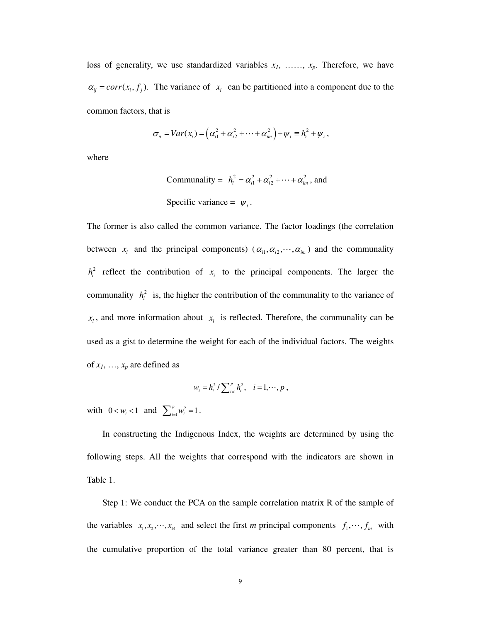loss of generality, we use standardized variables *x1*, ……, *xp*. Therefore, we have  $\alpha_{ij} = corr(x_i, f_j)$ . The variance of  $x_i$  can be partitioned into a component due to the common factors, that is

$$
\sigma_{ii} = Var(x_i) = \left(\alpha_{i1}^2 + \alpha_{i2}^2 + \cdots + \alpha_{im}^2\right) + \psi_i \equiv h_i^2 + \psi_i,
$$

where

Communality = 
$$
h_i^2 = \alpha_{i1}^2 + \alpha_{i2}^2 + \cdots + \alpha_{im}^2
$$
, and

\nSpecific variance =  $\psi_i$ .

The former is also called the common variance. The factor loadings (the correlation between  $x_i$  and the principal components)  $(\alpha_{i1}, \alpha_{i2}, \dots, \alpha_{im})$  and the communality  $h_i^2$  reflect the contribution of  $x_i$  to the principal components. The larger the communality  $h_i^2$  is, the higher the contribution of the communality to the variance of  $x_i$ , and more information about  $x_i$  is reflected. Therefore, the communality can be used as a gist to determine the weight for each of the individual factors. The weights of  $x_1$ , ...,  $x_p$  are defined as

$$
w_i = h_i^2 / \sum_{i=1}^p h_i^2
$$
,  $i = 1, \dots, p$ ,

with  $0 < w_i < 1$  and  $\sum_{i=1}^{p} w_i^2 = 1$  $\sum_{i=1}^{p} w_i^2 = 1$ .

In constructing the Indigenous Index, the weights are determined by using the following steps. All the weights that correspond with the indicators are shown in Table 1.

Step 1: We conduct the PCA on the sample correlation matrix R of the sample of the variables  $x_1, x_2, \dots, x_{14}$  and select the first *m* principal components  $f_1, \dots, f_m$  with the cumulative proportion of the total variance greater than 80 percent, that is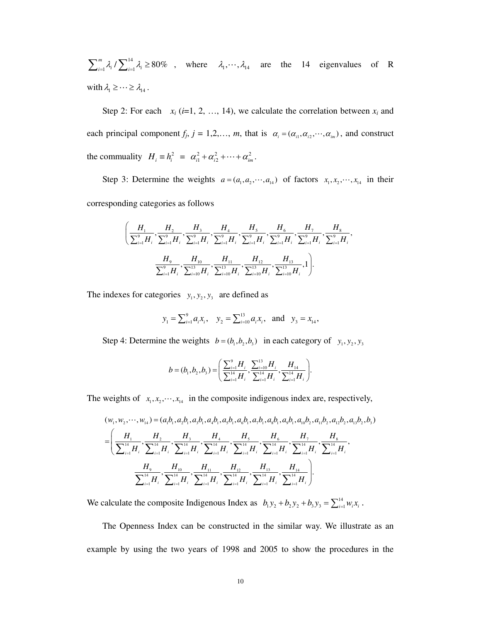14  $\sum_{i=1}^{m} \lambda_i / \sum_{i=1}^{14} \lambda_i \ge 80\%$ , where  $\lambda_1, \dots, \lambda_{14}$  are the 14 eigenvalues of R with  $\lambda_1 \geq \cdots \geq \lambda_{14}$ .

Step 2: For each  $x_i$  (*i*=1, 2, …, 14), we calculate the correlation between  $x_i$  and each principal component  $f_j$ ,  $j = 1, 2, ..., m$ , that is  $\alpha_i = (\alpha_{i1}, \alpha_{i2}, ..., \alpha_{im})$ , and construct the commuality  $H_i = h_i^2 = \alpha_{i1}^2 + \alpha_{i2}^2 + \cdots + \alpha_{im}^2$ .

Step 3: Determine the weights  $a = (a_1, a_2, \dots, a_{14})$  of factors  $x_1, x_2, \dots, x_{14}$  in their corresponding categories as follows

$$
\left(\frac{H_{1}}{\sum_{i=1}^{9}H_{i}}, \frac{H_{2}}{\sum_{i=1}^{9}H_{i}}, \frac{H_{3}}{\sum_{i=1}^{9}H_{i}}, \frac{H_{4}}{\sum_{i=1}^{9}H_{i}}, \frac{H_{5}}{\sum_{i=1}^{9}H_{i}}, \frac{H_{6}}{\sum_{i=1}^{9}H_{i}}, \frac{H_{7}}{\sum_{i=1}^{9}H_{i}}, \frac{H_{8}}{\sum_{i=1}^{9}H_{i}}, \frac{H_{9}}{\sum_{i=1}^{9}H_{i}}, \frac{H_{10}}{\sum_{i=10}^{13}H_{i}}, \frac{H_{11}}{\sum_{i=10}^{13}H_{i}}, \frac{H_{12}}{\sum_{i=10}^{13}H_{i}}, \frac{H_{13}}{\sum_{i=10}^{13}H_{i}}, 1\right)
$$

The indexes for categories  $y_1, y_2, y_3$  are defined as

$$
y_1 = \sum_{i=1}^9 a_i x_i
$$
,  $y_2 = \sum_{i=10}^{13} a_i x_i$ , and  $y_3 = x_{14}$ ,

Step 4: Determine the weights  $b = (b_1, b_2, b_3)$  in each category of  $y_1, y_2, y_3$ 

$$
b = (b_1, b_2, b_3) = \left(\frac{\sum_{i=1}^{9} H_i}{\sum_{i=1}^{14} H_i}, \frac{\sum_{i=10}^{13} H_i}{\sum_{i=1}^{14} H_i}, \frac{H_{14}}{\sum_{i=1}^{14} H_i}\right).
$$

The weights of  $x_1, x_2, \dots, x_{14}$  in the composite indigenous index are, respectively,

$$
(w_{1}, w_{2}, \dots, w_{14}) = (a_{1}b_{1}, a_{2}b_{1}, a_{3}b_{1}, a_{4}b_{1}, a_{5}b_{1}, a_{6}b_{1}, a_{7}b_{1}, a_{8}b_{1}, a_{10}b_{2}, a_{11}b_{2}, a_{12}b_{2}, a_{13}b_{2}, b_{3})
$$
  
\n
$$
= \left(\frac{H_{1}}{\sum_{i=1}^{14} H_{i}}, \frac{H_{2}}{\sum_{i=1}^{14} H_{i}}, \frac{H_{3}}{\sum_{i=1}^{14} H_{i}}, \frac{H_{4}}{\sum_{i=1}^{14} H_{i}}, \frac{H_{5}}{\sum_{i=1}^{14} H_{i}}, \frac{H_{6}}{\sum_{i=1}^{14} H_{i}}, \frac{H_{7}}{\sum_{i=1}^{14} H_{i}}, \frac{H_{8}}{\sum_{i=1}^{14} H_{i}}, \frac{H_{8}}{\sum_{i=1}^{14} H_{i}}, \frac{H_{9}}{\sum_{i=1}^{14} H_{i}}, \frac{H_{10}}{\sum_{i=1}^{14} H_{i}}, \frac{H_{11}}{\sum_{i=1}^{14} H_{i}}, \frac{H_{12}}{\sum_{i=1}^{14} H_{i}}, \frac{H_{13}}{\sum_{i=1}^{14} H_{i}}\right)
$$

We calculate the composite Indigenous Index as  $b_1y_2 + b_2y_2 + b_3y_3 = \sum_{i=1}^{14} w_i x_i$ .

The Openness Index can be constructed in the similar way. We illustrate as an example by using the two years of 1998 and 2005 to show the procedures in the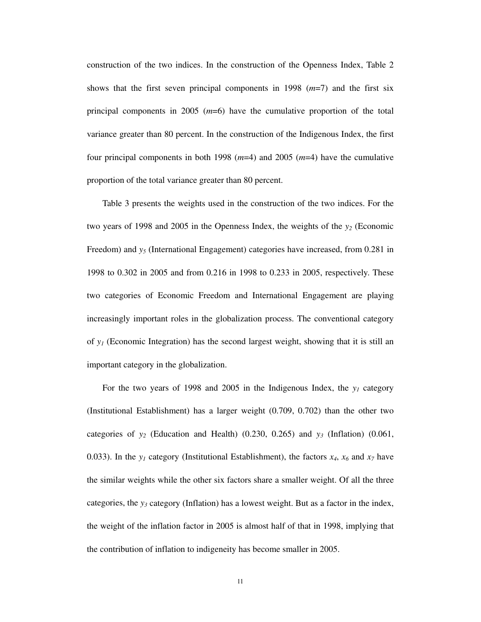construction of the two indices. In the construction of the Openness Index, Table 2 shows that the first seven principal components in 1998 (*m*=7) and the first six principal components in 2005 (*m*=6) have the cumulative proportion of the total variance greater than 80 percent. In the construction of the Indigenous Index, the first four principal components in both 1998 (*m*=4) and 2005 (*m*=4) have the cumulative proportion of the total variance greater than 80 percent.

 Table 3 presents the weights used in the construction of the two indices. For the two years of 1998 and 2005 in the Openness Index, the weights of the *y2* (Economic Freedom) and *y<sup>5</sup>* (International Engagement) categories have increased, from 0.281 in 1998 to 0.302 in 2005 and from 0.216 in 1998 to 0.233 in 2005, respectively. These two categories of Economic Freedom and International Engagement are playing increasingly important roles in the globalization process. The conventional category of *y1* (Economic Integration) has the second largest weight, showing that it is still an important category in the globalization.

 For the two years of 1998 and 2005 in the Indigenous Index, the *y1* category (Institutional Establishment) has a larger weight (0.709, 0.702) than the other two categories of  $y_2$  (Education and Health) (0.230, 0.265) and  $y_3$  (Inflation) (0.061, 0.033). In the  $y_1$  category (Institutional Establishment), the factors  $x_4$ ,  $x_6$  and  $x_7$  have the similar weights while the other six factors share a smaller weight. Of all the three categories, the *y3* category (Inflation) has a lowest weight. But as a factor in the index, the weight of the inflation factor in 2005 is almost half of that in 1998, implying that the contribution of inflation to indigeneity has become smaller in 2005.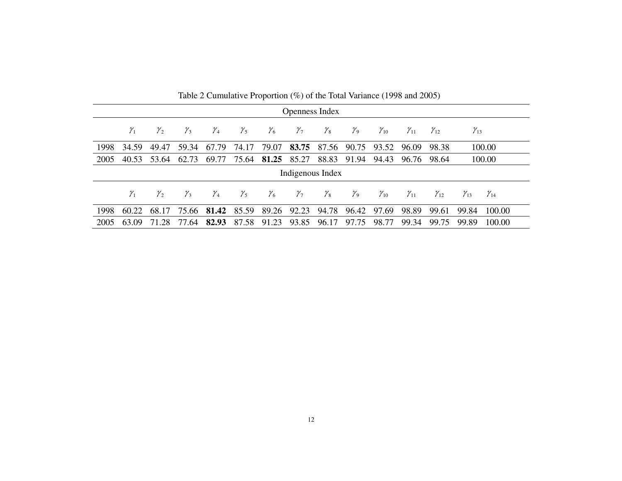|                |              | Twore $\mathcal{L}$ cannot convention (70) or the Total variance (1220 and 2002) |                  |              |              |                      |                                     |                  |                                    |                                           |               |               |               |
|----------------|--------------|----------------------------------------------------------------------------------|------------------|--------------|--------------|----------------------|-------------------------------------|------------------|------------------------------------|-------------------------------------------|---------------|---------------|---------------|
| Openness Index |              |                                                                                  |                  |              |              |                      |                                     |                  |                                    |                                           |               |               |               |
| $\gamma_{1}$   | $\gamma$ ,   | $\gamma_{3}$                                                                     | ${\mathcal Y}_4$ | $\gamma_{5}$ | $\gamma_{6}$ | $\gamma_{7}$         | $\gamma_{\rm s}$                    | $\gamma_{\rm o}$ | $\chi_{10}$                        | $\gamma_{11}$                             | $\gamma_{12}$ | $\gamma_{13}$ |               |
| 34.59          | 49.47        | 59.34                                                                            | 67.79            | 74.17        |              |                      |                                     |                  |                                    | 96.09                                     | 98.38         |               | 100.00        |
| 40.53          | 53.64        | 62.73                                                                            | 69.77            | 75.64        |              |                      | 88.83                               | 91.94            | 94.43                              | 96.76                                     | 98.64         |               | 100.00        |
|                |              |                                                                                  |                  |              |              |                      |                                     |                  |                                    |                                           |               |               |               |
| $\gamma_{1}$   | $\gamma_{2}$ | $\gamma_{3}$                                                                     | ${\mathcal Y}_4$ | $\gamma_{5}$ | $\gamma_{6}$ | $\gamma_{7}$         | ${\mathcal Y}_8$                    | $\gamma_{\rm o}$ | $\mathcal{Y}_{10}$                 | $\mathcal{Y}_{11}$                        | $\gamma_{12}$ | $\gamma_{13}$ | $\gamma_{14}$ |
| 60.22          | 68.17        |                                                                                  |                  |              |              |                      |                                     |                  |                                    | 98.89                                     | 99.61         | 99.84         | 100.00        |
| 63.09          | 71.28        | 77.64                                                                            | 82.93            |              |              | 93.85                |                                     |                  | 98.77                              | 99.34                                     | 99.75         | 99.89         | 100.00        |
|                |              |                                                                                  | 75.66            |              | 81.42 85.59  | 81.25<br>87.58 91.23 | 79.07 83.75<br>85.27<br>89.26 92.23 |                  | Indigenous Index<br>94.78<br>96.17 | 87.56 90.75 93.52<br>96.42 97.69<br>97.75 |               |               |               |

Table 2 Cumulative Proportion (%) of the Total Variance (1998 and 2005)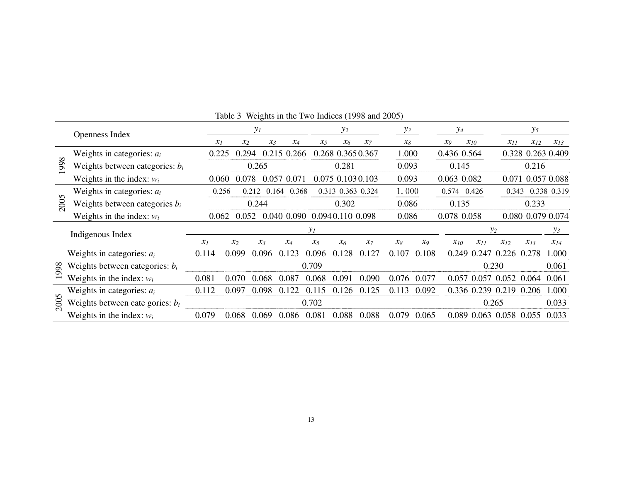|          | Openness Index                     |       |       | $y_I$           |                |         | $y_2$             |          | $y_3$ |       |       | $y_4$                |          | $y_5$             |             |
|----------|------------------------------------|-------|-------|-----------------|----------------|---------|-------------------|----------|-------|-------|-------|----------------------|----------|-------------------|-------------|
|          |                                    | $x_1$ | $x_2$ | $\chi_3$        | $x_4$          | $x_{5}$ | $x_6$             | $\chi_7$ | $x_8$ |       | $x_9$ | $x_{10}$             | $x_{11}$ | $x_{12}$          | $x_{13}$    |
| $\infty$ | Weights in categories: $a_i$       | 0.225 |       | 0.294           | 0.215<br>0.266 |         | 0.268 0.365 0.367 |          | 1.000 |       |       | 0.436 0.564          |          | 0.328 0.263 0.409 |             |
| 99       | Weights between categories: $b_i$  |       |       | 0.265           |                |         | 0.281             |          | 0.093 |       |       | 0.145                |          | 0.216             |             |
|          | Weights in the index: $w_i$        | 0.060 | 0.078 |                 | 0.057<br>0.071 |         | 0.075 0.103 0.103 |          | 0.093 |       |       | 0.063 0.082          | 0.071    |                   | 0.057 0.088 |
| $\Omega$ | Weights in categories: $a_i$       | 0.256 |       | 0.212           | 0.368<br>0.164 |         | 0.313 0.363 0.324 |          | 1.000 |       |       | 0.574 0.426          | 0.343    |                   | 0.338 0.319 |
| 200      | Weights between categories $b_i$   |       |       | 0.244           |                |         | 0.302             |          | 0.086 |       |       | 0.135                |          | 0.233             |             |
|          | Weights in the index: $w_i$        | 0.062 |       | 0.052           | 0.040 0.090    |         | 0.0940.110 0.098  |          | 0.086 |       |       | 0.078 0.058          |          | 0.080 0.079 0.074 |             |
|          | Indigenous Index                   |       |       |                 |                | $y_1$   |                   |          |       |       |       |                      | $y_2$    |                   | $y_3$       |
|          |                                    | $x_1$ | $x_2$ | $\mathcal{X}_3$ | $x_4$          | $x_5$   | $x_6$             | $x_7$    | $x_8$ | $x_9$ |       | $x_{10}$<br>$x_{11}$ | $x_{12}$ | $x_{13}$          | $x_{14}$    |
|          | Weights in categories: $a_i$       | 0.114 | 0.099 | 0.096           | 0.123          | 0.096   | 128               | 0.127    | 0.107 | 0.108 |       | 0.249<br>0.247       | 0.226    | 0.278             | 1.000       |
| 1998     | Weights between categories: $b_i$  |       |       |                 |                | 0.709   |                   |          |       |       |       |                      | 0.230    |                   | 0.061       |
|          | Weights in the index: $w_i$        | 0.081 | 0.070 | 0.068           | 0.087          | 0.068   | 0 U U             | 0.090    | 0.076 | 0.077 | 0.057 | 0.057                | 0.052    | 0.064             | 0.061       |
| $\sigma$ | Weights in categories: $a_i$       | 0.112 | 0.097 | 0.098           |                | 0.115   | 126               | 0.125    | 0.113 | 0.092 |       | 0.336 0.239 0.219    |          | 0.206             | 1.000       |
| 200      | Weights between cate gories: $b_i$ |       |       |                 |                | 0.702   |                   |          |       |       |       |                      | 0.265    |                   | 0.033       |
|          | Weights in the index: $w_i$        | 0.079 | 0.068 | 0.069           | 0.086          | 0.081   | 0.088             | 0.088    | 0.079 | 0.065 |       | 0.089<br>0.063       | 0.058    | 0.055             | 0.033       |

Table 3 Weights in the Two Indices (1998 and 2005)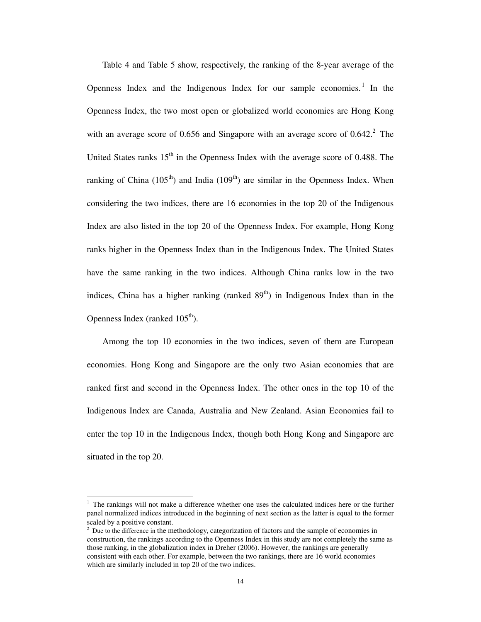Table 4 and Table 5 show, respectively, the ranking of the 8-year average of the Openness Index and the Indigenous Index for our sample economies.<sup>1</sup> In the Openness Index, the two most open or globalized world economies are Hong Kong with an average score of 0.656 and Singapore with an average score of  $0.642$ .<sup>2</sup> The United States ranks  $15<sup>th</sup>$  in the Openness Index with the average score of 0.488. The ranking of China  $(105<sup>th</sup>)$  and India  $(109<sup>th</sup>)$  are similar in the Openness Index. When considering the two indices, there are 16 economies in the top 20 of the Indigenous Index are also listed in the top 20 of the Openness Index. For example, Hong Kong ranks higher in the Openness Index than in the Indigenous Index. The United States have the same ranking in the two indices. Although China ranks low in the two indices, China has a higher ranking (ranked  $89<sup>th</sup>$ ) in Indigenous Index than in the Openness Index (ranked  $105<sup>th</sup>$ ).

Among the top 10 economies in the two indices, seven of them are European economies. Hong Kong and Singapore are the only two Asian economies that are ranked first and second in the Openness Index. The other ones in the top 10 of the Indigenous Index are Canada, Australia and New Zealand. Asian Economies fail to enter the top 10 in the Indigenous Index, though both Hong Kong and Singapore are situated in the top 20.

 $\overline{a}$ 

<sup>1</sup> The rankings will not make a difference whether one uses the calculated indices here or the further panel normalized indices introduced in the beginning of next section as the latter is equal to the former scaled by a positive constant.

 $2<sup>2</sup>$  Due to the difference in the methodology, categorization of factors and the sample of economies in construction, the rankings according to the Openness Index in this study are not completely the same as those ranking, in the globalization index in Dreher (2006). However, the rankings are generally consistent with each other. For example, between the two rankings, there are 16 world economies which are similarly included in top 20 of the two indices.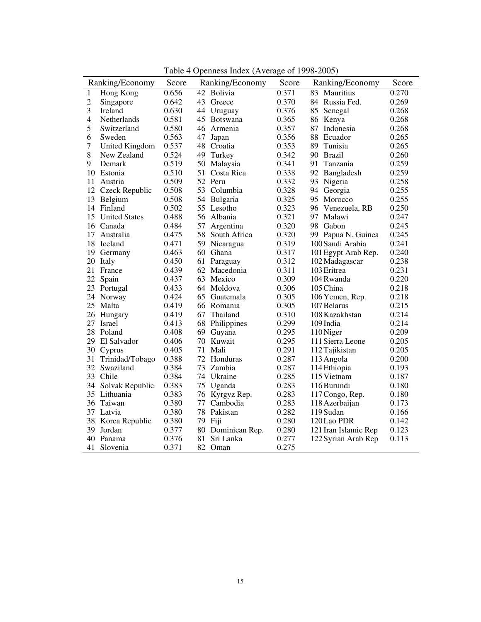|                | rabic + Openhess muck (Average or 1990-2000) |       |    |                   |       |                      |       |  |
|----------------|----------------------------------------------|-------|----|-------------------|-------|----------------------|-------|--|
|                | Ranking/Economy                              | Score |    | Ranking/Economy   | Score | Ranking/Economy      | Score |  |
| 1              | Hong Kong                                    | 0.656 | 42 | Bolivia           | 0.371 | 83<br>Mauritius      | 0.270 |  |
| $\overline{c}$ | Singapore                                    | 0.642 | 43 | Greece            | 0.370 | 84 Russia Fed.       | 0.269 |  |
| 3              | Ireland                                      | 0.630 | 44 | Uruguay           | 0.376 | 85<br>Senegal        | 0.268 |  |
| $\overline{4}$ | Netherlands                                  | 0.581 | 45 | <b>Botswana</b>   | 0.365 | 86<br>Kenya          | 0.268 |  |
| 5              | Switzerland                                  | 0.580 | 46 | Armenia           | 0.357 | 87<br>Indonesia      | 0.268 |  |
| 6              | Sweden                                       | 0.563 | 47 | Japan             | 0.356 | 88<br>Ecuador        | 0.265 |  |
| $\overline{7}$ | United Kingdom                               | 0.537 | 48 | Croatia           | 0.353 | 89<br>Tunisia        | 0.265 |  |
| 8              | New Zealand                                  | 0.524 | 49 | Turkey            | 0.342 | 90 Brazil            | 0.260 |  |
| 9              | Demark                                       | 0.519 | 50 | Malaysia          | 0.341 | Tanzania<br>91       | 0.259 |  |
|                | 10 Estonia                                   | 0.510 | 51 | Costa Rica        | 0.338 | 92<br>Bangladesh     | 0.259 |  |
| 11             | Austria                                      | 0.509 |    | 52 Peru           | 0.332 | 93<br>Nigeria        | 0.258 |  |
| 12             | Czeck Republic                               | 0.508 | 53 | Columbia          | 0.328 | Georgia<br>94        | 0.255 |  |
| 13             | Belgium                                      | 0.508 | 54 | Bulgaria          | 0.325 | 95<br>Morocco        | 0.255 |  |
|                | 14 Finland                                   | 0.502 | 55 | Lesotho           | 0.323 | 96 Venezuela, RB     | 0.250 |  |
| 15             | <b>United States</b>                         | 0.488 |    | 56 Albania        | 0.321 | Malawi<br>97.        | 0.247 |  |
|                | 16 Canada                                    | 0.484 | 57 | Argentina         | 0.320 | 98 Gabon             | 0.245 |  |
| 17             | Australia                                    | 0.475 | 58 | South Africa      | 0.320 | 99 Papua N. Guinea   | 0.245 |  |
| 18             | Iceland                                      | 0.471 | 59 | Nicaragua         | 0.319 | 100 Saudi Arabia     | 0.241 |  |
| 19             | Germany                                      | 0.463 | 60 | Ghana             | 0.317 | 101 Egypt Arab Rep.  | 0.240 |  |
| 20             | Italy                                        | 0.450 | 61 | Paraguay          | 0.312 | 102 Madagascar       | 0.238 |  |
|                | 21 France                                    | 0.439 | 62 | Macedonia         | 0.311 | 103 Eritrea          | 0.231 |  |
| 22             | Spain                                        | 0.437 | 63 | Mexico            | 0.309 | 104 Rwanda           | 0.220 |  |
| 23             | Portugal                                     | 0.433 | 64 | Moldova           | 0.306 | 105 China            | 0.218 |  |
|                | 24 Norway                                    | 0.424 | 65 | Guatemala         | 0.305 | 106 Yemen, Rep.      | 0.218 |  |
|                | 25 Malta                                     | 0.419 |    | 66 Romania        | 0.305 | 107 Belarus          | 0.215 |  |
|                | 26 Hungary                                   | 0.419 | 67 | Thailand          | 0.310 | 108 Kazakhstan       | 0.214 |  |
|                | 27 Israel                                    | 0.413 | 68 | Philippines       | 0.299 | 109 India            | 0.214 |  |
|                | 28 Poland                                    | 0.408 | 69 | Guyana            | 0.295 | 110 Niger            | 0.209 |  |
|                | 29 El Salvador                               | 0.406 | 70 | Kuwait            | 0.295 | 111 Sierra Leone     | 0.205 |  |
| 30             | Cyprus                                       | 0.405 | 71 | Mali              | 0.291 | 112 Tajikistan       | 0.205 |  |
| 31             | Trinidad/Tobago                              | 0.388 | 72 | Honduras          | 0.287 | 113 Angola           | 0.200 |  |
|                | 32 Swaziland                                 | 0.384 | 73 | Zambia            | 0.287 | 114 Ethiopia         | 0.193 |  |
|                | 33 Chile                                     | 0.384 |    | 74 Ukraine        | 0.285 | 115 Vietnam          | 0.187 |  |
| 34             | Solvak Republic                              | 0.383 | 75 | Uganda            | 0.283 | 116 Burundi          | 0.180 |  |
|                | 35 Lithuania                                 | 0.383 | 76 | Kyrgyz Rep.       | 0.283 | 117 Congo, Rep.      | 0.180 |  |
|                | 36 Taiwan                                    | 0.380 | 77 | Cambodia          | 0.283 | 118 Azerbaijan       | 0.173 |  |
|                | 37 Latvia                                    | 0.380 |    | 78 Pakistan       | 0.282 | 119 Sudan            | 0.166 |  |
| 38             | Korea Republic                               | 0.380 | 79 | Fiji              | 0.280 | 120 Lao PDR          | 0.142 |  |
|                | 39 Jordan                                    | 0.377 |    | 80 Dominican Rep. | 0.280 | 121 Iran Islamic Rep | 0.123 |  |
| 40             | Panama                                       | 0.376 | 81 | Sri Lanka         | 0.277 | 122 Syrian Arab Rep  | 0.113 |  |
|                |                                              |       | 82 |                   |       |                      |       |  |
| 41             | Slovenia                                     | 0.371 |    | Oman              | 0.275 |                      |       |  |

Table 4 Openness Index (Average of 1998-2005)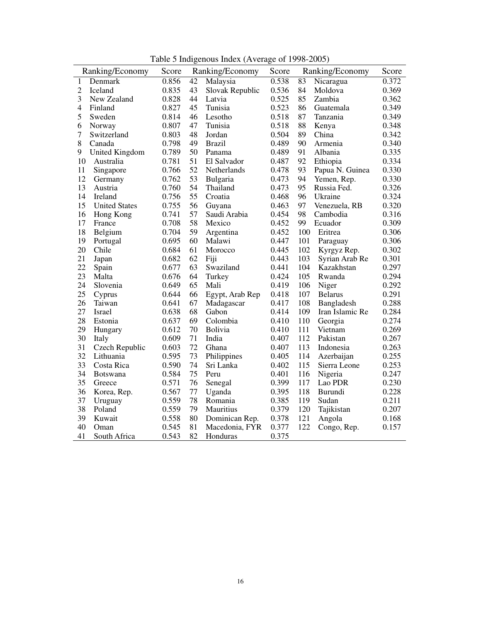Table 5 Indigenous Index (Average of 1998-2005)

|                | Ranking/Economy      | Score | Ranking/Economy |                 | Score |     | Ranking/Economy | Score |
|----------------|----------------------|-------|-----------------|-----------------|-------|-----|-----------------|-------|
| 1              | Denmark              | 0.856 | 42              | Malaysia        | 0.538 | 83  | Nicaragua       | 0.372 |
| $\overline{c}$ | Iceland              | 0.835 | 43              | Slovak Republic | 0.536 | 84  | Moldova         | 0.369 |
| 3              | New Zealand          | 0.828 | 44              | Latvia          | 0.525 | 85  | Zambia          | 0.362 |
| 4              | Finland              | 0.827 | 45              | Tunisia         | 0.523 | 86  | Guatemala       | 0.349 |
| 5              | Sweden               | 0.814 | 46              | Lesotho         | 0.518 | 87  | Tanzania        | 0.349 |
| 6              | Norway               | 0.807 | 47              | Tunisia         | 0.518 | 88  | Kenya           | 0.348 |
| $\overline{7}$ | Switzerland          | 0.803 | 48              | Jordan          | 0.504 | 89  | China           | 0.342 |
| 8              | Canada               | 0.798 | 49              | <b>Brazil</b>   | 0.489 | 90  | Armenia         | 0.340 |
| 9              | United Kingdom       | 0.789 | 50              | Panama          | 0.489 | 91  | Albania         | 0.335 |
| 10             | Australia            | 0.781 | 51              | El Salvador     | 0.487 | 92  | Ethiopia        | 0.334 |
| 11             | Singapore            | 0.766 | 52              | Netherlands     | 0.478 | 93  | Papua N. Guinea | 0.330 |
| 12             | Germany              | 0.762 | 53              | Bulgaria        | 0.473 | 94  | Yemen, Rep.     | 0.330 |
| 13             | Austria              | 0.760 | 54              | Thailand        | 0.473 | 95  | Russia Fed.     | 0.326 |
| 14             | Ireland              | 0.756 | 55              | Croatia         | 0.468 | 96  | Ukraine         | 0.324 |
| 15             | <b>United States</b> | 0.755 | 56              | Guyana          | 0.463 | 97  | Venezuela, RB   | 0.320 |
| 16             | Hong Kong            | 0.741 | 57              | Saudi Arabia    | 0.454 | 98  | Cambodia        | 0.316 |
| 17             | France               | 0.708 | 58              | Mexico          | 0.452 | 99  | Ecuador         | 0.309 |
| 18             | Belgium              | 0.704 | 59              | Argentina       | 0.452 | 100 | Eritrea         | 0.306 |
| 19             | Portugal             | 0.695 | 60              | Malawi          | 0.447 | 101 | Paraguay        | 0.306 |
| 20             | Chile                | 0.684 | 61              | Morocco         | 0.445 | 102 | Kyrgyz Rep.     | 0.302 |
| 21             | Japan                | 0.682 | 62              | Fiji            | 0.443 | 103 | Syrian Arab Re  | 0.301 |
| 22             | Spain                | 0.677 | 63              | Swaziland       | 0.441 | 104 | Kazakhstan      | 0.297 |
| 23             | Malta                | 0.676 | 64              | Turkey          | 0.424 | 105 | Rwanda          | 0.294 |
| 24             | Slovenia             | 0.649 | 65              | Mali            | 0.419 | 106 | Niger           | 0.292 |
| 25             | Cyprus               | 0.644 | 66              | Egypt, Arab Rep | 0.418 | 107 | <b>Belarus</b>  | 0.291 |
| 26             | Taiwan               | 0.641 | 67              | Madagascar      | 0.417 | 108 | Bangladesh      | 0.288 |
| 27             | Israel               | 0.638 | 68              | Gabon           | 0.414 | 109 | Iran Islamic Re | 0.284 |
| 28             | Estonia              | 0.637 | 69              | Colombia        | 0.410 | 110 | Georgia         | 0.274 |
| 29             | Hungary              | 0.612 | 70              | <b>Bolivia</b>  | 0.410 | 111 | Vietnam         | 0.269 |
| 30             | Italy                | 0.609 | 71              | India           | 0.407 | 112 | Pakistan        | 0.267 |
| 31             | Czech Republic       | 0.603 | 72              | Ghana           | 0.407 | 113 | Indonesia       | 0.263 |
| 32             | Lithuania            | 0.595 | 73              | Philippines     | 0.405 | 114 | Azerbaijan      | 0.255 |
| 33             | Costa Rica           | 0.590 | 74              | Sri Lanka       | 0.402 | 115 | Sierra Leone    | 0.253 |
| 34             | <b>Botswana</b>      | 0.584 | 75              | Peru            | 0.401 | 116 | Nigeria         | 0.247 |
| 35             | Greece               | 0.571 | 76              | Senegal         | 0.399 | 117 | Lao PDR         | 0.230 |
| 36             | Korea, Rep.          | 0.567 | $77 \,$         | Uganda          | 0.395 | 118 | Burundi         | 0.228 |
| 37             | Uruguay              | 0.559 | 78              | Romania         | 0.385 | 119 | Sudan           | 0.211 |
| 38             | Poland               | 0.559 | 79              | Mauritius       | 0.379 | 120 | Tajikistan      | 0.207 |
| 39             | Kuwait               | 0.558 | 80              | Dominican Rep.  | 0.378 | 121 | Angola          | 0.168 |
| 40             | Oman                 | 0.545 | 81              | Macedonia, FYR  | 0.377 | 122 | Congo, Rep.     | 0.157 |
| 41             | South Africa         | 0.543 | 82              | Honduras        | 0.375 |     |                 |       |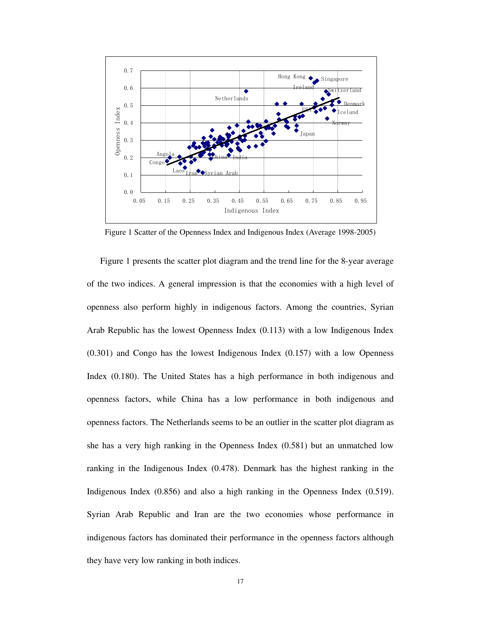

Figure 1 Scatter of the Openness Index and Indigenous Index (Average 1998-2005)

Figure 1 presents the scatter plot diagram and the trend line for the 8-year average of the two indices. A general impression is that the economies with a high level of openness also perform highly in indigenous factors. Among the countries, Syrian Arab Republic has the lowest Openness Index (0.113) with a low Indigenous Index (0.301) and Congo has the lowest Indigenous Index (0.157) with a low Openness Index (0.180). The United States has a high performance in both indigenous and openness factors, while China has a low performance in both indigenous and openness factors. The Netherlands seems to be an outlier in the scatter plot diagram as she has a very high ranking in the Openness Index (0.581) but an unmatched low ranking in the Indigenous Index (0.478). Denmark has the highest ranking in the Indigenous Index (0.856) and also a high ranking in the Openness Index (0.519). Syrian Arab Republic and Iran are the two economies whose performance in indigenous factors has dominated their performance in the openness factors although they have very low ranking in both indices.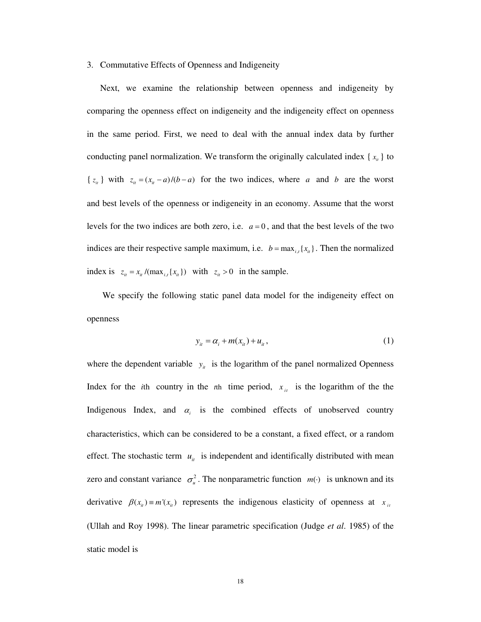#### 3. Commutative Effects of Openness and Indigeneity

Next, we examine the relationship between openness and indigeneity by comparing the openness effect on indigeneity and the indigeneity effect on openness in the same period. First, we need to deal with the annual index data by further conducting panel normalization. We transform the originally calculated index  $\{x_{i}\}\$ to { $z_i$ } with  $z_i = (x_i - a)/(b - a)$  for the two indices, where *a* and *b* are the worst and best levels of the openness or indigeneity in an economy. Assume that the worst levels for the two indices are both zero, i.e.  $a = 0$ , and that the best levels of the two indices are their respective sample maximum, i.e.  $b = \max_{i,t} \{x_{it}\}\$ . Then the normalized index is  $z_{it} = x_{it} / (\max_{i,t} \{x_{it}\})$  with  $z_{it} > 0$  in the sample.

We specify the following static panel data model for the indigeneity effect on openness

$$
y_{it} = \alpha_i + m(x_{it}) + u_{it}, \qquad (1)
$$

where the dependent variable  $y_i$  is the logarithm of the panel normalized Openness Index for the *i*th country in the *t*<sup>th</sup> time period,  $x_{it}$  is the logarithm of the the Indigenous Index, and  $\alpha_i$  is the combined effects of unobserved country characteristics, which can be considered to be a constant, a fixed effect, or a random effect. The stochastic term  $u_{it}$  is independent and identifically distributed with mean zero and constant variance  $\sigma_u^2$ . The nonparametric function  $m(\cdot)$  is unknown and its derivative  $\beta$ ( $x_i$ ) =  $m'(x_i)$  represents the indigenous elasticity of openness at  $x_i$ (Ullah and Roy 1998). The linear parametric specification (Judge *et al*. 1985) of the static model is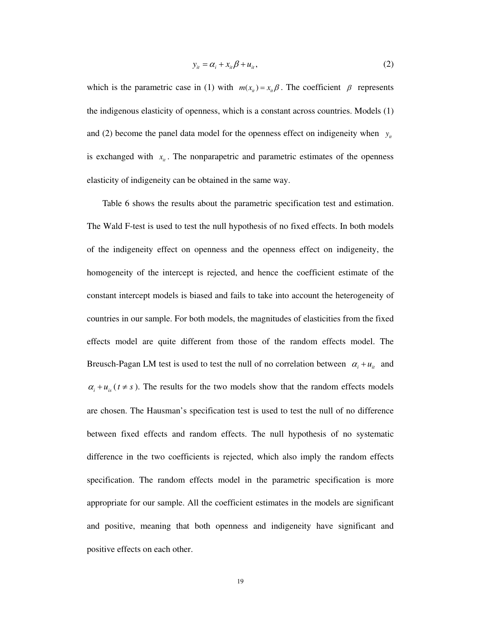$$
y_{it} = \alpha_i + x_{it}\beta + u_{it},\tag{2}
$$

which is the parametric case in (1) with  $m(x_i) = x_i \beta$ . The coefficient  $\beta$  represents the indigenous elasticity of openness, which is a constant across countries. Models (1) and (2) become the panel data model for the openness effect on indigeneity when  $y_i$ is exchanged with  $x_{it}$ . The nonparapetric and parametric estimates of the openness elasticity of indigeneity can be obtained in the same way.

Table 6 shows the results about the parametric specification test and estimation. The Wald F-test is used to test the null hypothesis of no fixed effects. In both models of the indigeneity effect on openness and the openness effect on indigeneity, the homogeneity of the intercept is rejected, and hence the coefficient estimate of the constant intercept models is biased and fails to take into account the heterogeneity of countries in our sample. For both models, the magnitudes of elasticities from the fixed effects model are quite different from those of the random effects model. The Breusch-Pagan LM test is used to test the null of no correlation between  $\alpha_i + u_{i}$  and  $\alpha_i + u_{i}$  ( $t \neq s$ ). The results for the two models show that the random effects models are chosen. The Hausman's specification test is used to test the null of no difference between fixed effects and random effects. The null hypothesis of no systematic difference in the two coefficients is rejected, which also imply the random effects specification. The random effects model in the parametric specification is more appropriate for our sample. All the coefficient estimates in the models are significant and positive, meaning that both openness and indigeneity have significant and positive effects on each other.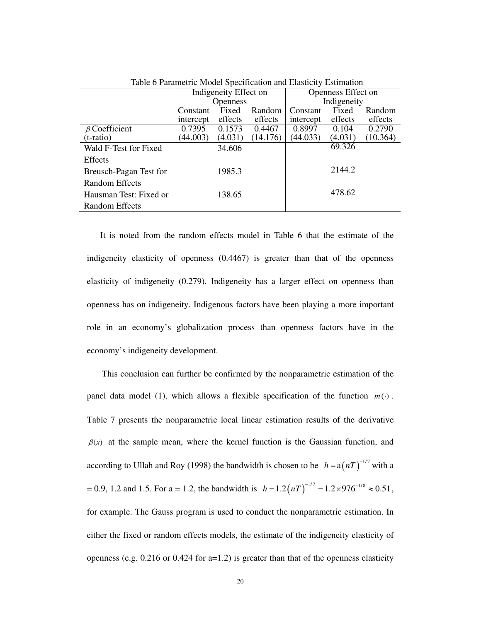| Table of a ametric <i>would</i> specification and Liasticity Estimation |           |                       |          |                    |         |          |  |  |
|-------------------------------------------------------------------------|-----------|-----------------------|----------|--------------------|---------|----------|--|--|
|                                                                         |           | Indigeneity Effect on |          | Openness Effect on |         |          |  |  |
|                                                                         |           | <b>Openness</b>       |          | Indigeneity        |         |          |  |  |
|                                                                         | Constant  | Fixed                 | Random   | Constant           | Fixed   | Random   |  |  |
|                                                                         | intercept | effects               | effects  | intercept          | effects | effects  |  |  |
| $\beta$ Coefficient                                                     | 0.7395    | 0.1573                | 0.4467   | 0.8997             | 0.104   | 0.2790   |  |  |
| $(t-ratio)$                                                             | (44.003)  | (4.031)               | (14.176) | (44.033)           | (4.031) | (10.364) |  |  |
| Wald F-Test for Fixed                                                   |           | 34.606                |          |                    | 69.326  |          |  |  |
| Effects                                                                 |           |                       |          |                    |         |          |  |  |
| Breusch-Pagan Test for                                                  |           | 1985.3                |          |                    | 2144.2  |          |  |  |
| <b>Random Effects</b>                                                   |           |                       |          |                    |         |          |  |  |
| Hausman Test: Fixed or                                                  |           | 138.65                |          |                    | 478.62  |          |  |  |
| <b>Random Effects</b>                                                   |           |                       |          |                    |         |          |  |  |

Table 6 Parametric Model Specification and Elasticity Estimation

It is noted from the random effects model in Table 6 that the estimate of the indigeneity elasticity of openness (0.4467) is greater than that of the openness elasticity of indigeneity (0.279). Indigeneity has a larger effect on openness than openness has on indigeneity. Indigenous factors have been playing a more important role in an economy's globalization process than openness factors have in the economy's indigeneity development.

This conclusion can further be confirmed by the nonparametric estimation of the panel data model (1), which allows a flexible specification of the function  $m(·)$ . Table 7 presents the nonparametric local linear estimation results of the derivative  $\beta(x)$  at the sample mean, where the kernel function is the Gaussian function, and according to Ullah and Roy (1998) the bandwidth is chosen to be  $h = a(nT)^{-1/7}$  with a  $= 0.9, 1.2$  and 1.5. For a = 1.2, the bandwidth is  $h = 1.2 (nT)^{-1/7} = 1.2 \times 976^{-1/8} \approx 0.51$ , for example. The Gauss program is used to conduct the nonparametric estimation. In either the fixed or random effects models, the estimate of the indigeneity elasticity of openness (e.g. 0.216 or 0.424 for a=1.2) is greater than that of the openness elasticity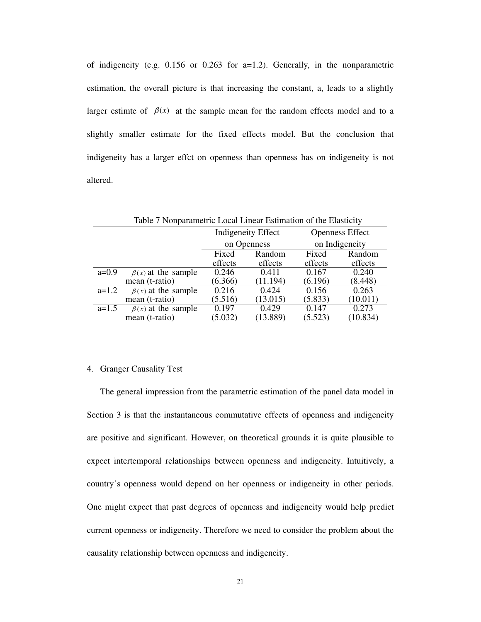of indigeneity (e.g. 0.156 or 0.263 for a=1.2). Generally, in the nonparametric estimation, the overall picture is that increasing the constant, a, leads to a slightly larger estimte of  $\beta(x)$  at the sample mean for the random effects model and to a slightly smaller estimate for the fixed effects model. But the conclusion that indigeneity has a larger effct on openness than openness has on indigeneity is not altered.

| Table 7 Nonparametric Local Linear Estimation of the Elasticity |                          |         |                           |                        |                |  |  |
|-----------------------------------------------------------------|--------------------------|---------|---------------------------|------------------------|----------------|--|--|
|                                                                 |                          |         | <b>Indigeneity Effect</b> | <b>Openness Effect</b> |                |  |  |
|                                                                 |                          |         | on Openness               |                        | on Indigeneity |  |  |
|                                                                 |                          | Fixed   | Random                    | Fixed                  | Random         |  |  |
|                                                                 |                          | effects | effects                   | effects                | effects        |  |  |
| $a=0.9$                                                         | $\beta(x)$ at the sample | 0.246   | 0.411                     | 0.167                  | 0.240          |  |  |
|                                                                 | mean (t-ratio)           | (6.366) | (11.194)                  | (6.196)                | (8.448)        |  |  |
| $a=1.2$                                                         | $\beta(x)$ at the sample | 0.216   | 0.424                     | 0.156                  | 0.263          |  |  |
|                                                                 | mean (t-ratio)           | (5.516) | (13.015)                  | (5.833)                | (10.011)       |  |  |
| $a=1.5$                                                         | $\beta(x)$ at the sample | 0.197   | 0.429                     | 0.147                  | 0.273          |  |  |
|                                                                 | mean (t-ratio)           | (5.032) | (13.889)                  | (5.523)                | (10.834)       |  |  |

#### 4. Granger Causality Test

The general impression from the parametric estimation of the panel data model in Section 3 is that the instantaneous commutative effects of openness and indigeneity are positive and significant. However, on theoretical grounds it is quite plausible to expect intertemporal relationships between openness and indigeneity. Intuitively, a country's openness would depend on her openness or indigeneity in other periods. One might expect that past degrees of openness and indigeneity would help predict current openness or indigeneity. Therefore we need to consider the problem about the causality relationship between openness and indigeneity.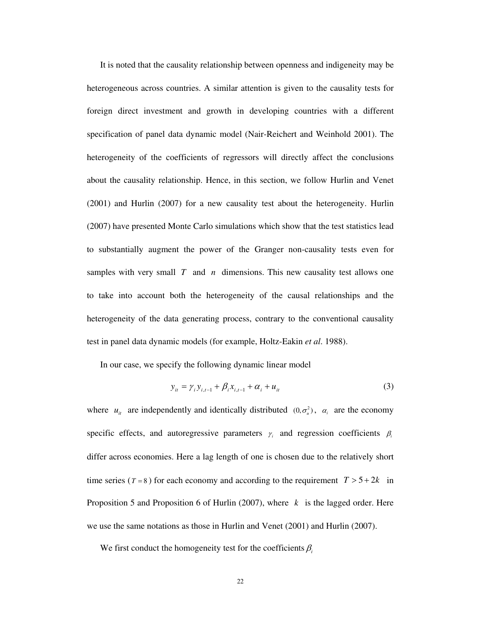It is noted that the causality relationship between openness and indigeneity may be heterogeneous across countries. A similar attention is given to the causality tests for foreign direct investment and growth in developing countries with a different specification of panel data dynamic model (Nair-Reichert and Weinhold 2001). The heterogeneity of the coefficients of regressors will directly affect the conclusions about the causality relationship. Hence, in this section, we follow Hurlin and Venet (2001) and Hurlin (2007) for a new causality test about the heterogeneity. Hurlin (2007) have presented Monte Carlo simulations which show that the test statistics lead to substantially augment the power of the Granger non-causality tests even for samples with very small *T* and *n* dimensions. This new causality test allows one to take into account both the heterogeneity of the causal relationships and the heterogeneity of the data generating process, contrary to the conventional causality test in panel data dynamic models (for example, Holtz-Eakin *et al*. 1988).

In our case, we specify the following dynamic linear model

$$
y_{it} = \gamma_i y_{i,t-1} + \beta_i x_{i,t-1} + \alpha_i + u_{it}
$$
 (3)

where  $u_{it}$  are independently and identically distributed  $(0, \sigma_u^2)$ ,  $\alpha_i$  are the economy specific effects, and autoregressive parameters  $\gamma_i$  and regression coefficients  $\beta_i$ differ across economies. Here a lag length of one is chosen due to the relatively short time series ( $T = 8$ ) for each economy and according to the requirement  $T > 5 + 2k$  in Proposition 5 and Proposition 6 of Hurlin (2007), where *k* is the lagged order. Here we use the same notations as those in Hurlin and Venet (2001) and Hurlin (2007).

We first conduct the homogeneity test for the coefficients  $\beta_i$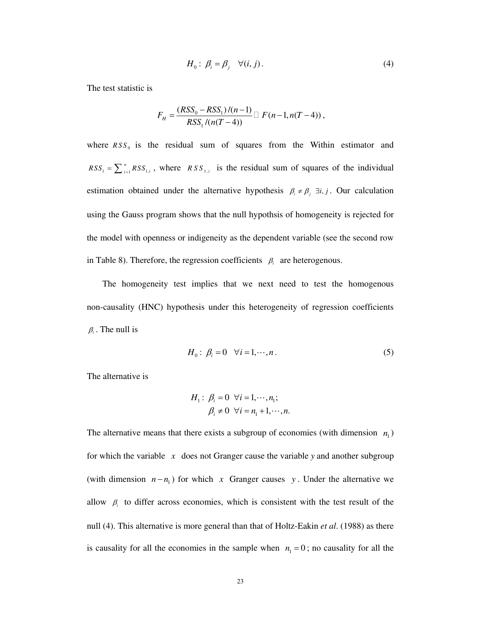$$
H_0: \beta_i = \beta_j \quad \forall (i, j).
$$
 (4)

The test statistic is

$$
F_H = \frac{(RSS_0 - RSS_1)/(n-1)}{RSS_1/(n(T-4))} \square F(n-1, n(T-4)),
$$

where  $RSS_0$  is the residual sum of squares from the Within estimator and 1 1, 1 *n*  $RSS_1 = \sum_{i=1}^{n} RSS_{1,i}$ , where *RSS*<sub>1,*i*</sub> is the residual sum of squares of the individual estimation obtained under the alternative hypothesis  $\beta_i \neq \beta_j$   $\exists i, j$ . Our calculation using the Gauss program shows that the null hypothsis of homogeneity is rejected for the model with openness or indigeneity as the dependent variable (see the second row in Table 8). Therefore, the regression coefficients  $\beta_i$  are heterogenous.

 The homogeneity test implies that we next need to test the homogenous non-causality (HNC) hypothesis under this heterogeneity of regression coefficients  $\beta_i$ . The null is

$$
H_0: \beta_i = 0 \quad \forall i = 1, \cdots, n. \tag{5}
$$

The alternative is

$$
H_1: \beta_i = 0 \quad \forall i = 1, \cdots, n_1; \\
\beta_i \neq 0 \quad \forall i = n_1 + 1, \cdots, n.
$$

The alternative means that there exists a subgroup of economies (with dimension  $n_1$ ) for which the variable *x* does not Granger cause the variable *y* and another subgroup (with dimension  $n - n_1$ ) for which *x* Granger causes *y*. Under the alternative we allow  $\beta_i$  to differ across economies, which is consistent with the test result of the null (4). This alternative is more general than that of Holtz-Eakin *et al*. (1988) as there is causality for all the economies in the sample when  $n_1 = 0$ ; no causality for all the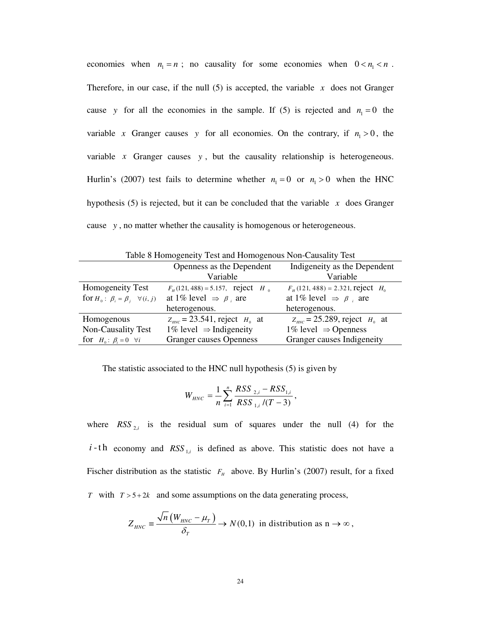economies when  $n_1 = n$ ; no causality for some economies when  $0 < n_1 < n$ . Therefore, in our case, if the null  $(5)$  is accepted, the variable  $x$  does not Granger cause y for all the economies in the sample. If (5) is rejected and  $n_1 = 0$  the variable *x* Granger causes *y* for all economies. On the contrary, if  $n_1 > 0$ , the variable  $x$  Granger causes  $y$ , but the causality relationship is heterogeneous. Hurlin's (2007) test fails to determine whether  $n_1 = 0$  or  $n_1 > 0$  when the HNC hypothesis (5) is rejected, but it can be concluded that the variable  $x$  does Granger cause *y* , no matter whether the causality is homogenous or heterogeneous.

| Table 8 Homogeneity Test and Homogenous Non-Causality Test |                                                 |                                            |  |  |  |  |
|------------------------------------------------------------|-------------------------------------------------|--------------------------------------------|--|--|--|--|
|                                                            | Openness as the Dependent                       | Indigeneity as the Dependent               |  |  |  |  |
|                                                            | Variable                                        | Variable                                   |  |  |  |  |
| Homogeneity Test                                           | $F_H(121, 488) = 5.157$ , reject H <sub>0</sub> | $F_{H}$ (121, 488) = 2.321, reject $H_{0}$ |  |  |  |  |
| for $H_0: \beta_i = \beta_i \quad \forall (i, j)$          | at 1% level $\Rightarrow \beta_i$ are           | at 1% level $\Rightarrow \beta$ , are      |  |  |  |  |
|                                                            | heterogenous.                                   | heterogenous.                              |  |  |  |  |
| Homogenous                                                 | $Z_{HNC} = 23.541$ , reject $H_0$ at            | $Z_{HNC} = 25.289$ , reject $H_0$ at       |  |  |  |  |
| Non-Causality Test                                         | $1\%$ level $\Rightarrow$ Indigeneity           | 1% level $\Rightarrow$ Openness            |  |  |  |  |
| for $H_0: \beta_i = 0 \quad \forall i$                     | <b>Granger causes Openness</b>                  | Granger causes Indigeneity                 |  |  |  |  |

The statistic associated to the HNC null hypothesis (5) is given by

$$
W_{HNC} = \frac{1}{n} \sum_{i=1}^{n} \frac{RSS_{2,i} - RSS_{1,i}}{RSS_{1,i} / (T-3)},
$$

where  $RSS_{2,i}$  is the residual sum of squares under the null (4) for the *i*-th economy and  $RSS_{1,i}$  is defined as above. This statistic does not have a Fischer distribution as the statistic  $F<sub>H</sub>$  above. By Hurlin's (2007) result, for a fixed *T* with  $T > 5 + 2k$  and some assumptions on the data generating process,

$$
Z_{HNC} \equiv \frac{\sqrt{n} \left( W_{HNC} - \mu_T \right)}{\delta_T} \to N(0,1) \text{ in distribution as } n \to \infty,
$$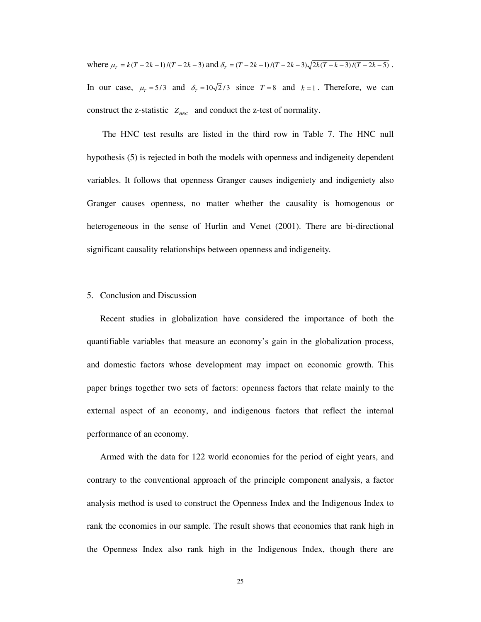where  $\mu_r = k(T - 2k - 1)/(T - 2k - 3)$  and  $\delta_r = (T - 2k - 1)/(T - 2k - 3)\sqrt{2k(T - k - 3)/(T - 2k - 5)}$ . In our case,  $\mu_T = 5/3$  and  $\delta_T = 10\sqrt{2}/3$  since  $T = 8$  and  $k = 1$ . Therefore, we can construct the z-statistic  $Z_{HNC}$  and conduct the z-test of normality.

 The HNC test results are listed in the third row in Table 7. The HNC null hypothesis (5) is rejected in both the models with openness and indigeneity dependent variables. It follows that openness Granger causes indigeniety and indigeniety also Granger causes openness, no matter whether the causality is homogenous or heterogeneous in the sense of Hurlin and Venet (2001). There are bi-directional significant causality relationships between openness and indigeneity.

# 5. Conclusion and Discussion

Recent studies in globalization have considered the importance of both the quantifiable variables that measure an economy's gain in the globalization process, and domestic factors whose development may impact on economic growth. This paper brings together two sets of factors: openness factors that relate mainly to the external aspect of an economy, and indigenous factors that reflect the internal performance of an economy.

Armed with the data for 122 world economies for the period of eight years, and contrary to the conventional approach of the principle component analysis, a factor analysis method is used to construct the Openness Index and the Indigenous Index to rank the economies in our sample. The result shows that economies that rank high in the Openness Index also rank high in the Indigenous Index, though there are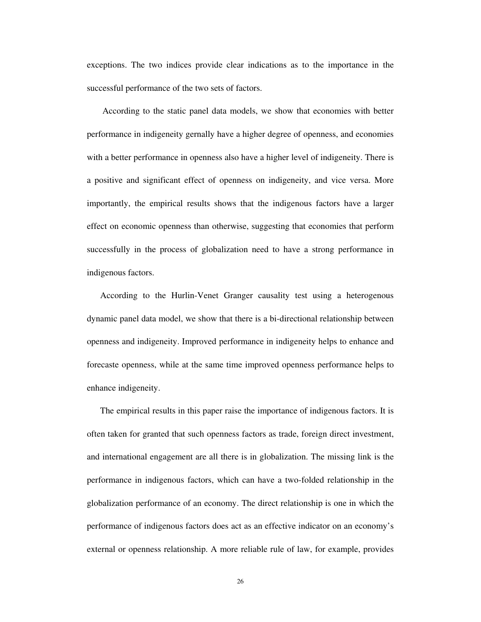exceptions. The two indices provide clear indications as to the importance in the successful performance of the two sets of factors.

 According to the static panel data models, we show that economies with better performance in indigeneity gernally have a higher degree of openness, and economies with a better performance in openness also have a higher level of indigeneity. There is a positive and significant effect of openness on indigeneity, and vice versa. More importantly, the empirical results shows that the indigenous factors have a larger effect on economic openness than otherwise, suggesting that economies that perform successfully in the process of globalization need to have a strong performance in indigenous factors.

According to the Hurlin-Venet Granger causality test using a heterogenous dynamic panel data model, we show that there is a bi-directional relationship between openness and indigeneity. Improved performance in indigeneity helps to enhance and forecaste openness, while at the same time improved openness performance helps to enhance indigeneity.

The empirical results in this paper raise the importance of indigenous factors. It is often taken for granted that such openness factors as trade, foreign direct investment, and international engagement are all there is in globalization. The missing link is the performance in indigenous factors, which can have a two-folded relationship in the globalization performance of an economy. The direct relationship is one in which the performance of indigenous factors does act as an effective indicator on an economy's external or openness relationship. A more reliable rule of law, for example, provides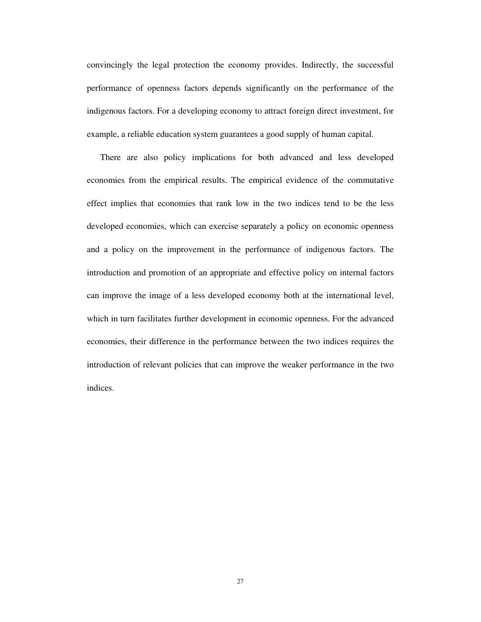convincingly the legal protection the economy provides. Indirectly, the successful performance of openness factors depends significantly on the performance of the indigenous factors. For a developing economy to attract foreign direct investment, for example, a reliable education system guarantees a good supply of human capital.

There are also policy implications for both advanced and less developed economies from the empirical results. The empirical evidence of the commutative effect implies that economies that rank low in the two indices tend to be the less developed economies, which can exercise separately a policy on economic openness and a policy on the improvement in the performance of indigenous factors. The introduction and promotion of an appropriate and effective policy on internal factors can improve the image of a less developed economy both at the international level, which in turn facilitates further development in economic openness. For the advanced economies, their difference in the performance between the two indices requires the introduction of relevant policies that can improve the weaker performance in the two indices.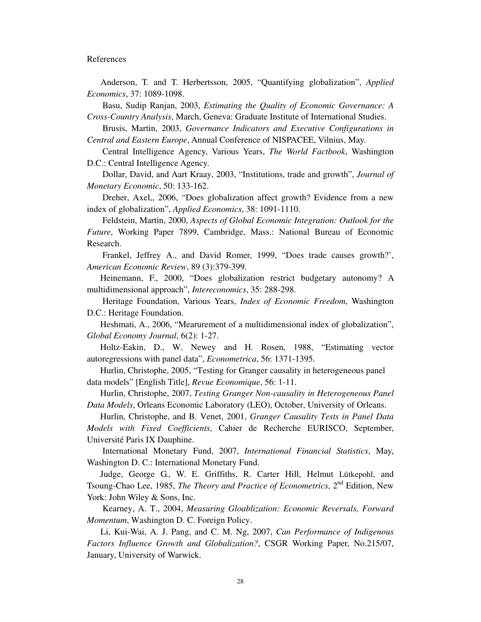#### References

Anderson, T. and T. Herbertsson, 2005, "Quantifying globalization", *Applied Economics*, 37: 1089-1098.

 Basu, Sudip Ranjan, 2003, *Estimating the Quality of Economic Governance: A Cross-Country Analysis*, March, Geneva: Graduate Institute of International Studies.

 Brusis, Martin, 2003, *Governance Indicators and Executive Configurations in Central and Eastern Europe*, Annual Conference of NISPACEE, Vilnius, May.

 Central Intelligence Agency, Various Years, *The World Factbook*, Washington D.C.: Central Intelligence Agency.

 Dollar, David, and Aart Kraay, 2003, "Institutions, trade and growth", *Journal of Monetary Economic*, 50: 133-162.

 Dreher, Axel,, 2006, "Does globalization affect growth? Evidence from a new index of globalization", *Applied Economics*, 38: 1091-1110.

 Feldstein, Martin, 2000, *Aspects of Global Economic Integration: Outlook for the Future*, Working Paper 7899, Cambridge, Mass.: National Bureau of Economic Research.

 Frankel, Jeffrey A., and David Romer, 1999, "Does trade causes growth?', *American Economic Review*, 89 (3):379-399.

Heinemann, F., 2000, "Does globalization restrict budgetary autonomy? A multidimensional approach", *Intereconomics*, 35: 288-298.

 Heritage Foundation, Various Years, *Index of Economic Freedom*, Washington D.C.: Heritage Foundation.

Heshmati, A., 2006, "Mearurement of a multidimensional index of globalization", *Global Economy Journal*, 6(2): 1-27.

Holtz-Eakin, D., W. Newey and H. Rosen, 1988, "Estimating vector autoregressions with panel data", *Econometrica*, 56: 1371-1395.

Hurlin, Christophe, 2005, "Testing for Granger causality in heterogeneous panel data models" [English Title], *Revue Economique*, 56: 1-11.

Hurlin, Christophe, 2007, *Testing Granger Non-causality in Heterogeneous Panel Data Models*, Orleans Economic Laboratory (LEO), October, University of Orleans.

Hurlin, Christophe, and B. Venet, 2001, *Granger Causality Tests in Panel Data Models with Fixed Coefficients*, Cahier de Recherche EURISCO, September, Université Paris IX Dauphine.

 International Monetary Fund, 2007, *International Financial Statistics*, May, Washington D. C.: International Monetary Fund.

Judge, George G., W. E. Griffiths, R. Carter Hill, Helmut Lütkepohl, and Tsoung-Chao Lee, 1985, *The Theory and Practice of Econometrics*, 2<sup>nd</sup> Edition, New York: John Wiley & Sons, Inc.

 Kearney, A. T., 2004, *Measuring Gloablization: Economic Reversals, Forward Momentum*, Washington D. C. Foreign Policy.

Li, Kui-Wai, A. J. Pang, and C. M. Ng, 2007, *Can Performance of Indigenous Factors Influence Growth and Globalization?*, CSGR Working Paper, No.215/07, January, University of Warwick.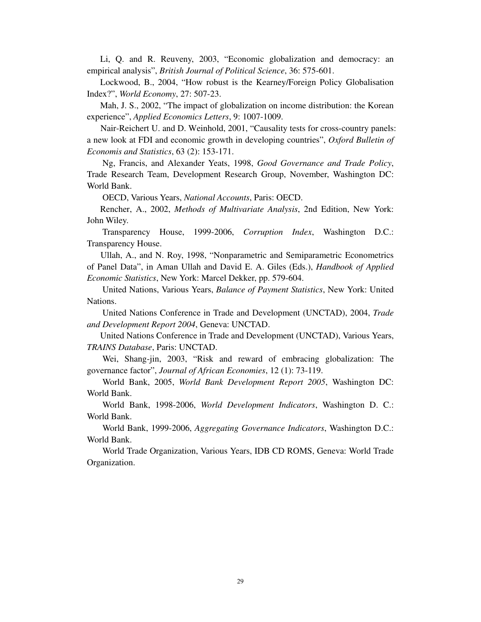Li, Q. and R. Reuveny, 2003, "Economic globalization and democracy: an empirical analysis", *British Journal of Political Science*, 36: 575-601.

Lockwood, B., 2004, "How robust is the Kearney/Foreign Policy Globalisation Index?", *World Economy*, 27: 507-23.

Mah, J. S., 2002, "The impact of globalization on income distribution: the Korean experience", *Applied Economics Letters*, 9: 1007-1009.

Nair-Reichert U. and D. Weinhold, 2001, "Causality tests for cross-country panels: a new look at FDI and economic growth in developing countries", *Oxford Bulletin of Economis and Statistics*, 63 (2): 153-171.

 Ng, Francis, and Alexander Yeats, 1998, *Good Governance and Trade Policy*, Trade Research Team, Development Research Group, November, Washington DC: World Bank.

OECD, Various Years, *National Accounts*, Paris: OECD.

Rencher, A., 2002, *Methods of Multivariate Analysis*, 2nd Edition, New York: John Wiley.

 Transparency House, 1999-2006, *Corruption Index*, Washington D.C.: Transparency House.

Ullah, A., and N. Roy, 1998, "Nonparametric and Semiparametric Econometrics of Panel Data", in Aman Ullah and David E. A. Giles (Eds.), *Handbook of Applied Economic Statistics*, New York: Marcel Dekker, pp. 579-604.

 United Nations, Various Years, *Balance of Payment Statistics*, New York: United Nations.

 United Nations Conference in Trade and Development (UNCTAD), 2004, *Trade and Development Report 2004*, Geneva: UNCTAD.

 United Nations Conference in Trade and Development (UNCTAD), Various Years, *TRAINS Database*, Paris: UNCTAD.

 Wei, Shang-jin, 2003, "Risk and reward of embracing globalization: The governance factor", *Journal of African Economies*, 12 (1): 73-119.

 World Bank, 2005, *World Bank Development Report 2005*, Washington DC: World Bank.

 World Bank, 1998-2006, *World Development Indicators*, Washington D. C.: World Bank.

 World Bank, 1999-2006, *Aggregating Governance Indicators*, Washington D.C.: World Bank.

 World Trade Organization, Various Years, IDB CD ROMS, Geneva: World Trade Organization.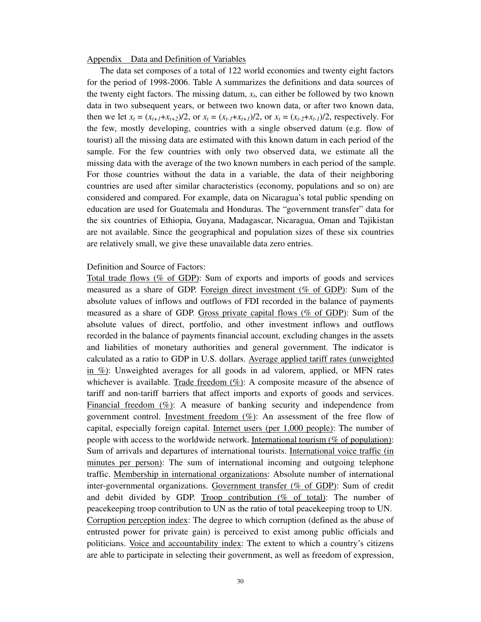#### Appendix Data and Definition of Variables

The data set composes of a total of 122 world economies and twenty eight factors for the period of 1998-2006. Table A summarizes the definitions and data sources of the twenty eight factors. The missing datum,  $x_t$ , can either be followed by two known data in two subsequent years, or between two known data, or after two known data, then we let  $x_t = (x_{t+1}+x_{t+2})/2$ , or  $x_t = (x_{t-1}+x_{t+1})/2$ , or  $x_t = (x_{t-2}+x_{t-1})/2$ , respectively. For the few, mostly developing, countries with a single observed datum (e.g. flow of tourist) all the missing data are estimated with this known datum in each period of the sample. For the few countries with only two observed data, we estimate all the missing data with the average of the two known numbers in each period of the sample. For those countries without the data in a variable, the data of their neighboring countries are used after similar characteristics (economy, populations and so on) are considered and compared. For example, data on Nicaragua's total public spending on education are used for Guatemala and Honduras. The "government transfer" data for the six countries of Ethiopia, Guyana, Madagascar, Nicaragua, Oman and Tajikistan are not available. Since the geographical and population sizes of these six countries are relatively small, we give these unavailable data zero entries.

### Definition and Source of Factors:

Total trade flows (% of GDP): Sum of exports and imports of goods and services measured as a share of GDP. Foreign direct investment (% of GDP): Sum of the absolute values of inflows and outflows of FDI recorded in the balance of payments measured as a share of GDP. Gross private capital flows (% of GDP): Sum of the absolute values of direct, portfolio, and other investment inflows and outflows recorded in the balance of payments financial account, excluding changes in the assets and liabilities of monetary authorities and general government. The indicator is calculated as a ratio to GDP in U.S. dollars. Average applied tariff rates (unweighted  $\frac{\sin \pi}{\cos \theta}$ : Unweighted averages for all goods in ad valorem, applied, or MFN rates whichever is available. Trade freedom  $(\%)$ : A composite measure of the absence of tariff and non-tariff barriers that affect imports and exports of goods and services. Financial freedom  $(\%)$ : A measure of banking security and independence from government control. Investment freedom (%): An assessment of the free flow of capital, especially foreign capital. Internet users (per 1,000 people): The number of people with access to the worldwide network. International tourism (% of population): Sum of arrivals and departures of international tourists. International voice traffic (in minutes per person): The sum of international incoming and outgoing telephone traffic. Membership in international organizations: Absolute number of international inter-governmental organizations. Government transfer (% of GDP): Sum of credit and debit divided by GDP. Troop contribution (% of total): The number of peacekeeping troop contribution to UN as the ratio of total peacekeeping troop to UN. Corruption perception index: The degree to which corruption (defined as the abuse of entrusted power for private gain) is perceived to exist among public officials and politicians. Voice and accountability index: The extent to which a country's citizens are able to participate in selecting their government, as well as freedom of expression,